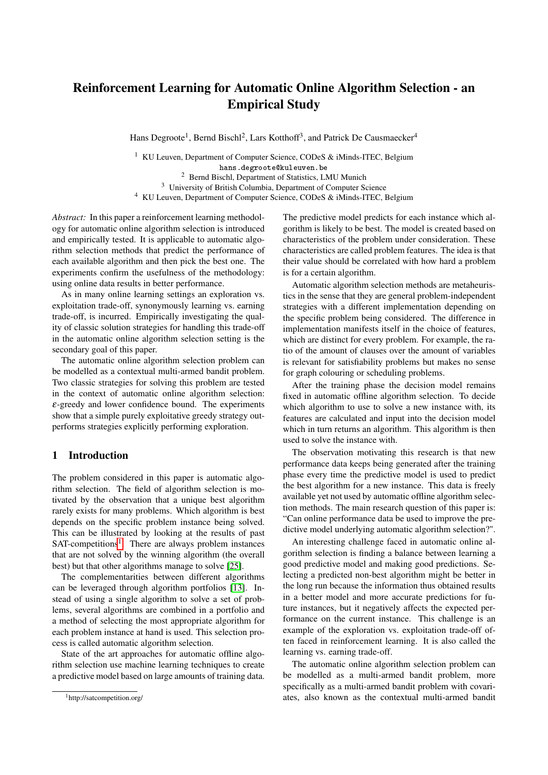# <span id="page-0-0"></span>Reinforcement Learning for Automatic Online Algorithm Selection - an Empirical Study

Hans Degroote<sup>1</sup>, Bernd Bischl<sup>2</sup>, Lars Kotthoff<sup>3</sup>, and Patrick De Causmaecker<sup>4</sup>

<sup>1</sup> KU Leuven, Department of Computer Science, CODeS & iMinds-ITEC, Belgium hans.degroote@kuleuven.be

<sup>2</sup> Bernd Bischl, Department of Statistics, LMU Munich

<sup>3</sup> University of British Columbia, Department of Computer Science

<sup>4</sup> KU Leuven, Department of Computer Science, CODeS & iMinds-ITEC, Belgium

*Abstract:* In this paper a reinforcement learning methodology for automatic online algorithm selection is introduced and empirically tested. It is applicable to automatic algorithm selection methods that predict the performance of each available algorithm and then pick the best one. The experiments confirm the usefulness of the methodology: using online data results in better performance.

As in many online learning settings an exploration vs. exploitation trade-off, synonymously learning vs. earning trade-off, is incurred. Empirically investigating the quality of classic solution strategies for handling this trade-off in the automatic online algorithm selection setting is the secondary goal of this paper.

The automatic online algorithm selection problem can be modelled as a contextual multi-armed bandit problem. Two classic strategies for solving this problem are tested in the context of automatic online algorithm selection:  $\varepsilon$ -greedy and lower confidence bound. The experiments show that a simple purely exploitative greedy strategy outperforms strategies explicitly performing exploration.

# 1 Introduction

The problem considered in this paper is automatic algorithm selection. The field of algorithm selection is motivated by the observation that a unique best algorithm rarely exists for many problems. Which algorithm is best depends on the specific problem instance being solved. This can be illustrated by looking at the results of past SAT-competitions<sup>1</sup>. There are always problem instances that are not solved by the winning algorithm (the overall best) but that other algorithms manage to solve [\[25\]](#page-8-0).

The complementarities between different algorithms can be leveraged through algorithm portfolios [\[13\]](#page-8-1). Instead of using a single algorithm to solve a set of problems, several algorithms are combined in a portfolio and a method of selecting the most appropriate algorithm for each problem instance at hand is used. This selection process is called automatic algorithm selection.

State of the art approaches for automatic offline algorithm selection use machine learning techniques to create a predictive model based on large amounts of training data.

The predictive model predicts for each instance which algorithm is likely to be best. The model is created based on characteristics of the problem under consideration. These characteristics are called problem features. The idea is that their value should be correlated with how hard a problem is for a certain algorithm.

Automatic algorithm selection methods are metaheuristics in the sense that they are general problem-independent strategies with a different implementation depending on the specific problem being considered. The difference in implementation manifests itself in the choice of features, which are distinct for every problem. For example, the ratio of the amount of clauses over the amount of variables is relevant for satisfiability problems but makes no sense for graph colouring or scheduling problems.

After the training phase the decision model remains fixed in automatic offline algorithm selection. To decide which algorithm to use to solve a new instance with, its features are calculated and input into the decision model which in turn returns an algorithm. This algorithm is then used to solve the instance with.

The observation motivating this research is that new performance data keeps being generated after the training phase every time the predictive model is used to predict the best algorithm for a new instance. This data is freely available yet not used by automatic offline algorithm selection methods. The main research question of this paper is: "Can online performance data be used to improve the predictive model underlying automatic algorithm selection?".

An interesting challenge faced in automatic online algorithm selection is finding a balance between learning a good predictive model and making good predictions. Selecting a predicted non-best algorithm might be better in the long run because the information thus obtained results in a better model and more accurate predictions for future instances, but it negatively affects the expected performance on the current instance. This challenge is an example of the exploration vs. exploitation trade-off often faced in reinforcement learning. It is also called the learning vs. earning trade-off.

The automatic online algorithm selection problem can be modelled as a multi-armed bandit problem, more specifically as a multi-armed bandit problem with covariates, also known as the contextual multi-armed bandit

<sup>1</sup>http://satcompetition.org/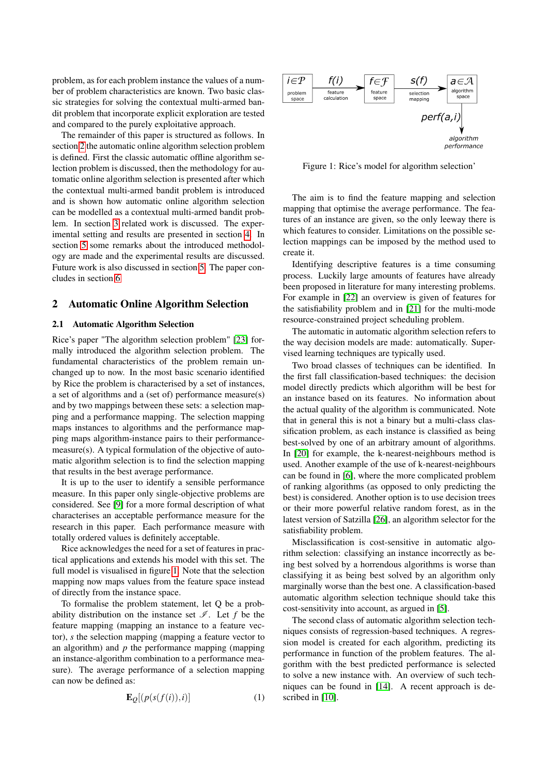problem, as for each problem instance the values of a number of problem characteristics are known. Two basic classic strategies for solving the contextual multi-armed bandit problem that incorporate explicit exploration are tested and compared to the purely exploitative approach.

The remainder of this paper is structured as follows. In section [2](#page-1-0) the automatic online algorithm selection problem is defined. First the classic automatic offline algorithm selection problem is discussed, then the methodology for automatic online algorithm selection is presented after which the contextual multi-armed bandit problem is introduced and is shown how automatic online algorithm selection can be modelled as a contextual multi-armed bandit problem. In section [3](#page-3-0) related work is discussed. The experimental setting and results are presented in section [4.](#page-3-1) In section [5](#page-6-0) some remarks about the introduced methodology are made and the experimental results are discussed. Future work is also discussed in section [5.](#page-6-0) The paper concludes in section [6](#page-7-0)

#### <span id="page-1-0"></span>2 Automatic Online Algorithm Selection

#### <span id="page-1-2"></span>2.1 Automatic Algorithm Selection

Rice's paper "The algorithm selection problem" [\[23\]](#page-8-2) formally introduced the algorithm selection problem. The fundamental characteristics of the problem remain unchanged up to now. In the most basic scenario identified by Rice the problem is characterised by a set of instances, a set of algorithms and a (set of) performance measure(s) and by two mappings between these sets: a selection mapping and a performance mapping. The selection mapping maps instances to algorithms and the performance mapping maps algorithm-instance pairs to their performancemeasure(s). A typical formulation of the objective of automatic algorithm selection is to find the selection mapping that results in the best average performance.

It is up to the user to identify a sensible performance measure. In this paper only single-objective problems are considered. See [\[9\]](#page-8-3) for a more formal description of what characterises an acceptable performance measure for the research in this paper. Each performance measure with totally ordered values is definitely acceptable.

Rice acknowledges the need for a set of features in practical applications and extends his model with this set. The full model is visualised in figure [1.](#page-1-1) Note that the selection mapping now maps values from the feature space instead of directly from the instance space.

To formalise the problem statement, let Q be a probability distribution on the instance set  $\mathscr{I}$ . Let f be the feature mapping (mapping an instance to a feature vector), *s* the selection mapping (mapping a feature vector to an algorithm) and  $p$  the performance mapping (mapping an instance-algorithm combination to a performance measure). The average performance of a selection mapping can now be defined as:

<span id="page-1-3"></span>
$$
\mathbf{E}_{\mathcal{Q}}[(p(s(f(i)),i)]\tag{1}
$$



<span id="page-1-1"></span>Figure 1: Rice's model for algorithm selection'

The aim is to find the feature mapping and selection mapping that optimise the average performance. The features of an instance are given, so the only leeway there is which features to consider. Limitations on the possible selection mappings can be imposed by the method used to create it.

Identifying descriptive features is a time consuming process. Luckily large amounts of features have already been proposed in literature for many interesting problems. For example in [\[22\]](#page-8-4) an overview is given of features for the satisfiability problem and in [\[21\]](#page-8-5) for the multi-mode resource-constrained project scheduling problem.

The automatic in automatic algorithm selection refers to the way decision models are made: automatically. Supervised learning techniques are typically used.

Two broad classes of techniques can be identified. In the first fall classification-based techniques: the decision model directly predicts which algorithm will be best for an instance based on its features. No information about the actual quality of the algorithm is communicated. Note that in general this is not a binary but a multi-class classification problem, as each instance is classified as being best-solved by one of an arbitrary amount of algorithms. In [\[20\]](#page-8-6) for example, the k-nearest-neighbours method is used. Another example of the use of k-nearest-neighbours can be found in [\[6\]](#page-8-7), where the more complicated problem of ranking algorithms (as opposed to only predicting the best) is considered. Another option is to use decision trees or their more powerful relative random forest, as in the latest version of Satzilla [\[26\]](#page-8-8), an algorithm selector for the satisfiability problem.

Misclassification is cost-sensitive in automatic algorithm selection: classifying an instance incorrectly as being best solved by a horrendous algorithms is worse than classifying it as being best solved by an algorithm only marginally worse than the best one. A classification-based automatic algorithm selection technique should take this cost-sensitivity into account, as argued in [\[5\]](#page-8-9).

The second class of automatic algorithm selection techniques consists of regression-based techniques. A regression model is created for each algorithm, predicting its performance in function of the problem features. The algorithm with the best predicted performance is selected to solve a new instance with. An overview of such techniques can be found in [\[14\]](#page-8-10). A recent approach is de-scribed in [\[10\]](#page-8-11).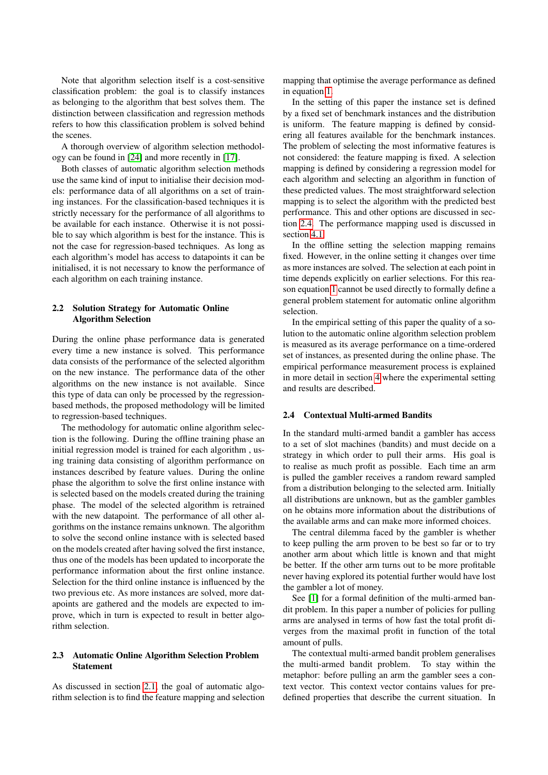Note that algorithm selection itself is a cost-sensitive classification problem: the goal is to classify instances as belonging to the algorithm that best solves them. The distinction between classification and regression methods refers to how this classification problem is solved behind the scenes.

A thorough overview of algorithm selection methodology can be found in [\[24\]](#page-8-12) and more recently in [\[17\]](#page-8-13).

Both classes of automatic algorithm selection methods use the same kind of input to initialise their decision models: performance data of all algorithms on a set of training instances. For the classification-based techniques it is strictly necessary for the performance of all algorithms to be available for each instance. Otherwise it is not possible to say which algorithm is best for the instance. This is not the case for regression-based techniques. As long as each algorithm's model has access to datapoints it can be initialised, it is not necessary to know the performance of each algorithm on each training instance.

## <span id="page-2-1"></span>2.2 Solution Strategy for Automatic Online Algorithm Selection

During the online phase performance data is generated every time a new instance is solved. This performance data consists of the performance of the selected algorithm on the new instance. The performance data of the other algorithms on the new instance is not available. Since this type of data can only be processed by the regressionbased methods, the proposed methodology will be limited to regression-based techniques.

The methodology for automatic online algorithm selection is the following. During the offline training phase an initial regression model is trained for each algorithm , using training data consisting of algorithm performance on instances described by feature values. During the online phase the algorithm to solve the first online instance with is selected based on the models created during the training phase. The model of the selected algorithm is retrained with the new datapoint. The performance of all other algorithms on the instance remains unknown. The algorithm to solve the second online instance with is selected based on the models created after having solved the first instance, thus one of the models has been updated to incorporate the performance information about the first online instance. Selection for the third online instance is influenced by the two previous etc. As more instances are solved, more datapoints are gathered and the models are expected to improve, which in turn is expected to result in better algorithm selection.

#### 2.3 Automatic Online Algorithm Selection Problem Statement

As discussed in section [2.1,](#page-1-2) the goal of automatic algorithm selection is to find the feature mapping and selection

mapping that optimise the average performance as defined in equation [1.](#page-1-3)

In the setting of this paper the instance set is defined by a fixed set of benchmark instances and the distribution is uniform. The feature mapping is defined by considering all features available for the benchmark instances. The problem of selecting the most informative features is not considered: the feature mapping is fixed. A selection mapping is defined by considering a regression model for each algorithm and selecting an algorithm in function of these predicted values. The most straightforward selection mapping is to select the algorithm with the predicted best performance. This and other options are discussed in section [2.4.](#page-2-0) The performance mapping used is discussed in section [4.1.](#page-3-2)

In the offline setting the selection mapping remains fixed. However, in the online setting it changes over time as more instances are solved. The selection at each point in time depends explicitly on earlier selections. For this reason equation [1](#page-1-3) cannot be used directly to formally define a general problem statement for automatic online algorithm selection.

In the empirical setting of this paper the quality of a solution to the automatic online algorithm selection problem is measured as its average performance on a time-ordered set of instances, as presented during the online phase. The empirical performance measurement process is explained in more detail in section [4](#page-3-1) where the experimental setting and results are described.

#### <span id="page-2-0"></span>2.4 Contextual Multi-armed Bandits

In the standard multi-armed bandit a gambler has access to a set of slot machines (bandits) and must decide on a strategy in which order to pull their arms. His goal is to realise as much profit as possible. Each time an arm is pulled the gambler receives a random reward sampled from a distribution belonging to the selected arm. Initially all distributions are unknown, but as the gambler gambles on he obtains more information about the distributions of the available arms and can make more informed choices.

The central dilemma faced by the gambler is whether to keep pulling the arm proven to be best so far or to try another arm about which little is known and that might be better. If the other arm turns out to be more profitable never having explored its potential further would have lost the gambler a lot of money.

See [\[1\]](#page-7-1) for a formal definition of the multi-armed bandit problem. In this paper a number of policies for pulling arms are analysed in terms of how fast the total profit diverges from the maximal profit in function of the total amount of pulls.

The contextual multi-armed bandit problem generalises the multi-armed bandit problem. To stay within the metaphor: before pulling an arm the gambler sees a context vector. This context vector contains values for predefined properties that describe the current situation. In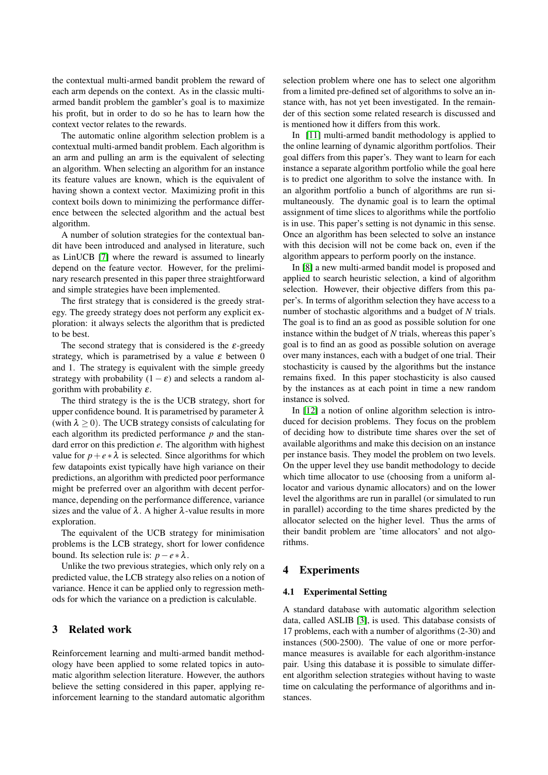the contextual multi-armed bandit problem the reward of each arm depends on the context. As in the classic multiarmed bandit problem the gambler's goal is to maximize his profit, but in order to do so he has to learn how the context vector relates to the rewards.

The automatic online algorithm selection problem is a contextual multi-armed bandit problem. Each algorithm is an arm and pulling an arm is the equivalent of selecting an algorithm. When selecting an algorithm for an instance its feature values are known, which is the equivalent of having shown a context vector. Maximizing profit in this context boils down to minimizing the performance difference between the selected algorithm and the actual best algorithm.

A number of solution strategies for the contextual bandit have been introduced and analysed in literature, such as LinUCB [\[7\]](#page-8-14) where the reward is assumed to linearly depend on the feature vector. However, for the preliminary research presented in this paper three straightforward and simple strategies have been implemented.

The first strategy that is considered is the greedy strategy. The greedy strategy does not perform any explicit exploration: it always selects the algorithm that is predicted to be best.

The second strategy that is considered is the  $\varepsilon$ -greedy strategy, which is parametrised by a value  $\varepsilon$  between 0 and 1. The strategy is equivalent with the simple greedy strategy with probability  $(1 - \varepsilon)$  and selects a random algorithm with probability  $\varepsilon$ .

The third strategy is the is the UCB strategy, short for upper confidence bound. It is parametrised by parameter  $\lambda$ (with  $\lambda \geq 0$ ). The UCB strategy consists of calculating for each algorithm its predicted performance *p* and the standard error on this prediction *e*. The algorithm with highest value for  $p + e * \lambda$  is selected. Since algorithms for which few datapoints exist typically have high variance on their predictions, an algorithm with predicted poor performance might be preferred over an algorithm with decent performance, depending on the performance difference, variance sizes and the value of  $\lambda$ . A higher  $\lambda$ -value results in more exploration.

The equivalent of the UCB strategy for minimisation problems is the LCB strategy, short for lower confidence bound. Its selection rule is:  $p - e * \lambda$ .

Unlike the two previous strategies, which only rely on a predicted value, the LCB strategy also relies on a notion of variance. Hence it can be applied only to regression methods for which the variance on a prediction is calculable.

## <span id="page-3-0"></span>3 Related work

Reinforcement learning and multi-armed bandit methodology have been applied to some related topics in automatic algorithm selection literature. However, the authors believe the setting considered in this paper, applying reinforcement learning to the standard automatic algorithm selection problem where one has to select one algorithm from a limited pre-defined set of algorithms to solve an instance with, has not yet been investigated. In the remainder of this section some related research is discussed and is mentioned how it differs from this work.

In [\[11\]](#page-8-15) multi-armed bandit methodology is applied to the online learning of dynamic algorithm portfolios. Their goal differs from this paper's. They want to learn for each instance a separate algorithm portfolio while the goal here is to predict one algorithm to solve the instance with. In an algorithm portfolio a bunch of algorithms are run simultaneously. The dynamic goal is to learn the optimal assignment of time slices to algorithms while the portfolio is in use. This paper's setting is not dynamic in this sense. Once an algorithm has been selected to solve an instance with this decision will not be come back on, even if the algorithm appears to perform poorly on the instance.

In [\[8\]](#page-8-16) a new multi-armed bandit model is proposed and applied to search heuristic selection, a kind of algorithm selection. However, their objective differs from this paper's. In terms of algorithm selection they have access to a number of stochastic algorithms and a budget of *N* trials. The goal is to find an as good as possible solution for one instance within the budget of *N* trials, whereas this paper's goal is to find an as good as possible solution on average over many instances, each with a budget of one trial. Their stochasticity is caused by the algorithms but the instance remains fixed. In this paper stochasticity is also caused by the instances as at each point in time a new random instance is solved.

In [\[12\]](#page-8-17) a notion of online algorithm selection is introduced for decision problems. They focus on the problem of deciding how to distribute time shares over the set of available algorithms and make this decision on an instance per instance basis. They model the problem on two levels. On the upper level they use bandit methodology to decide which time allocator to use (choosing from a uniform allocator and various dynamic allocators) and on the lower level the algorithms are run in parallel (or simulated to run in parallel) according to the time shares predicted by the allocator selected on the higher level. Thus the arms of their bandit problem are 'time allocators' and not algorithms.

## <span id="page-3-1"></span>4 Experiments

#### <span id="page-3-2"></span>4.1 Experimental Setting

A standard database with automatic algorithm selection data, called ASLIB [\[3\]](#page-7-2), is used. This database consists of 17 problems, each with a number of algorithms (2-30) and instances (500-2500). The value of one or more performance measures is available for each algorithm-instance pair. Using this database it is possible to simulate different algorithm selection strategies without having to waste time on calculating the performance of algorithms and instances.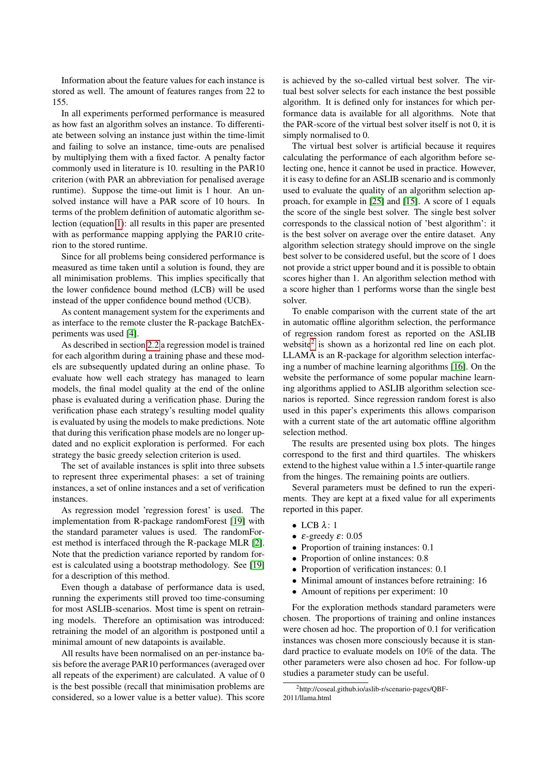Information about the feature values for each instance is stored as well. The amount of features ranges from 22 to 155.

In all experiments performed performance is measured as how fast an algorithm solves an instance. To differentiate between solving an instance just within the time-limit and failing to solve an instance, time-outs are penalised by multiplying them with a fixed factor. A penalty factor commonly used in literature is 10. resulting in the PAR10 criterion (with PAR an abbreviation for penalised average runtime). Suppose the time-out limit is 1 hour. An unsolved instance will have a PAR score of 10 hours. In terms of the problem definition of automatic algorithm selection (equation [1\)](#page-1-3): all results in this paper are presented with as performance mapping applying the PAR10 criterion to the stored runtime.

Since for all problems being considered performance is measured as time taken until a solution is found, they are all minimisation problems. This implies specifically that the lower confidence bound method (LCB) will be used instead of the upper confidence bound method (UCB).

As content management system for the experiments and as interface to the remote cluster the R-package BatchExperiments was used [\[4\]](#page-7-3).

As described in section [2.2](#page-2-1) a regression model is trained for each algorithm during a training phase and these models are subsequently updated during an online phase. To evaluate how well each strategy has managed to learn models, the final model quality at the end of the online phase is evaluated during a verification phase. During the verification phase each strategy's resulting model quality is evaluated by using the models to make predictions. Note that during this verification phase models are no longer updated and no explicit exploration is performed. For each strategy the basic greedy selection criterion is used.

The set of available instances is split into three subsets to represent three experimental phases: a set of training instances, a set of online instances and a set of verification instances.

As regression model 'regression forest' is used. The implementation from R-package randomForest [\[19\]](#page-8-18) with the standard parameter values is used. The randomForest method is interfaced through the R-package MLR [\[2\]](#page-7-4). Note that the prediction variance reported by random forest is calculated using a bootstrap methodology. See [\[19\]](#page-8-18) for a description of this method.

Even though a database of performance data is used, running the experiments still proved too time-consuming for most ASLIB-scenarios. Most time is spent on retraining models. Therefore an optimisation was introduced: retraining the model of an algorithm is postponed until a minimal amount of new datapoints is available.

All results have been normalised on an per-instance basis before the average PAR10 performances (averaged over all repeats of the experiment) are calculated. A value of 0 is the best possible (recall that minimisation problems are considered, so a lower value is a better value). This score

is achieved by the so-called virtual best solver. The virtual best solver selects for each instance the best possible algorithm. It is defined only for instances for which performance data is available for all algorithms. Note that the PAR-score of the virtual best solver itself is not 0, it is simply normalised to 0.

The virtual best solver is artificial because it requires calculating the performance of each algorithm before selecting one, hence it cannot be used in practice. However, it is easy to define for an ASLIB scenario and is commonly used to evaluate the quality of an algorithm selection approach, for example in [\[25\]](#page-8-0) and [\[15\]](#page-8-19). A score of 1 equals the score of the single best solver. The single best solver corresponds to the classical notion of 'best algorithm': it is the best solver on average over the entire dataset. Any algorithm selection strategy should improve on the single best solver to be considered useful, but the score of 1 does not provide a strict upper bound and it is possible to obtain scores higher than 1. An algorithm selection method with a score higher than 1 performs worse than the single best solver.

To enable comparison with the current state of the art in automatic offline algorithm selection, the performance of regression random forest as reported on the ASLIB website<sup>[2](#page-0-0)</sup> is shown as a horizontal red line on each plot. LLAMA is an R-package for algorithm selection interfacing a number of machine learning algorithms [\[16\]](#page-8-20). On the website the performance of some popular machine learning algorithms applied to ASLIB algorithm selection scenarios is reported. Since regression random forest is also used in this paper's experiments this allows comparison with a current state of the art automatic offline algorithm selection method.

The results are presented using box plots. The hinges correspond to the first and third quartiles. The whiskers extend to the highest value within a 1.5 inter-quartile range from the hinges. The remaining points are outliers.

Several parameters must be defined to run the experiments. They are kept at a fixed value for all experiments reported in this paper.

- LCB  $\lambda$ : 1
- $ε$ -greedy  $ε$ : 0.05
- Proportion of training instances: 0.1
- Proportion of online instances: 0.8
- Proportion of verification instances: 0.1
- Minimal amount of instances before retraining: 16
- Amount of repitions per experiment: 10

For the exploration methods standard parameters were chosen. The proportions of training and online instances were chosen ad hoc. The proportion of 0.1 for verification instances was chosen more consciously because it is standard practice to evaluate models on 10% of the data. The other parameters were also chosen ad hoc. For follow-up studies a parameter study can be useful.

<sup>2</sup>http://coseal.github.io/aslib-r/scenario-pages/QBF-2011/llama.html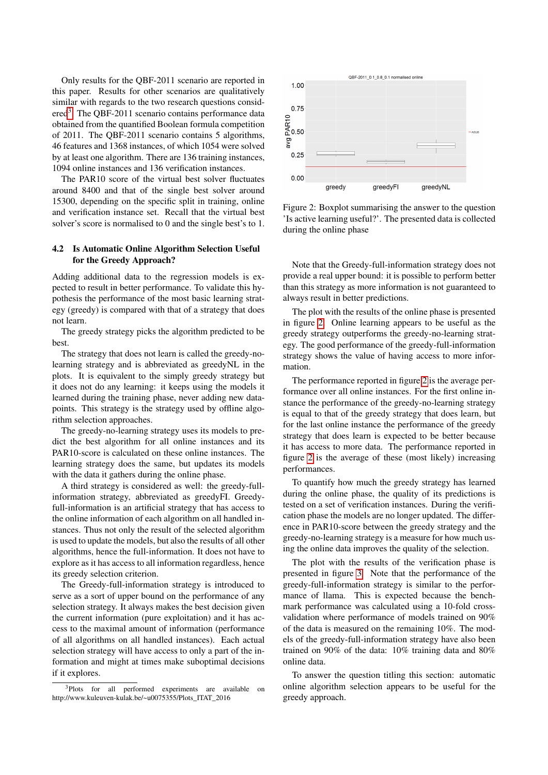Only results for the QBF-2011 scenario are reported in this paper. Results for other scenarios are qualitatively similar with regards to the two research questions consid-ered<sup>[3](#page-0-0)</sup>. The QBF-2011 scenario contains performance data obtained from the quantified Boolean formula competition of 2011. The QBF-2011 scenario contains 5 algorithms, 46 features and 1368 instances, of which 1054 were solved by at least one algorithm. There are 136 training instances, 1094 online instances and 136 verification instances.

The PAR10 score of the virtual best solver fluctuates around 8400 and that of the single best solver around 15300, depending on the specific split in training, online and verification instance set. Recall that the virtual best solver's score is normalised to 0 and the single best's to 1.

## 4.2 Is Automatic Online Algorithm Selection Useful for the Greedy Approach?

Adding additional data to the regression models is expected to result in better performance. To validate this hypothesis the performance of the most basic learning strategy (greedy) is compared with that of a strategy that does not learn.

The greedy strategy picks the algorithm predicted to be best.

The strategy that does not learn is called the greedy-nolearning strategy and is abbreviated as greedyNL in the plots. It is equivalent to the simply greedy strategy but it does not do any learning: it keeps using the models it learned during the training phase, never adding new datapoints. This strategy is the strategy used by offline algorithm selection approaches.

The greedy-no-learning strategy uses its models to predict the best algorithm for all online instances and its PAR10-score is calculated on these online instances. The learning strategy does the same, but updates its models with the data it gathers during the online phase.

A third strategy is considered as well: the greedy-fullinformation strategy, abbreviated as greedyFI. Greedyfull-information is an artificial strategy that has access to the online information of each algorithm on all handled instances. Thus not only the result of the selected algorithm is used to update the models, but also the results of all other algorithms, hence the full-information. It does not have to explore as it has access to all information regardless, hence its greedy selection criterion.

The Greedy-full-information strategy is introduced to serve as a sort of upper bound on the performance of any selection strategy. It always makes the best decision given the current information (pure exploitation) and it has access to the maximal amount of information (performance of all algorithms on all handled instances). Each actual selection strategy will have access to only a part of the information and might at times make suboptimal decisions if it explores.



<span id="page-5-0"></span>Figure 2: Boxplot summarising the answer to the question 'Is active learning useful?'. The presented data is collected during the online phase

Note that the Greedy-full-information strategy does not provide a real upper bound: it is possible to perform better than this strategy as more information is not guaranteed to always result in better predictions.

The plot with the results of the online phase is presented in figure [2.](#page-5-0) Online learning appears to be useful as the greedy strategy outperforms the greedy-no-learning strategy. The good performance of the greedy-full-information strategy shows the value of having access to more information.

The performance reported in figure [2](#page-5-0) is the average performance over all online instances. For the first online instance the performance of the greedy-no-learning strategy is equal to that of the greedy strategy that does learn, but for the last online instance the performance of the greedy strategy that does learn is expected to be better because it has access to more data. The performance reported in figure [2](#page-5-0) is the average of these (most likely) increasing performances.

To quantify how much the greedy strategy has learned during the online phase, the quality of its predictions is tested on a set of verification instances. During the verification phase the models are no longer updated. The difference in PAR10-score between the greedy strategy and the greedy-no-learning strategy is a measure for how much using the online data improves the quality of the selection.

The plot with the results of the verification phase is presented in figure [3.](#page-6-1) Note that the performance of the greedy-full-information strategy is similar to the performance of llama. This is expected because the benchmark performance was calculated using a 10-fold crossvalidation where performance of models trained on 90% of the data is measured on the remaining 10%. The models of the greedy-full-information strategy have also been trained on 90% of the data: 10% training data and 80% online data.

To answer the question titling this section: automatic online algorithm selection appears to be useful for the greedy approach.

<sup>&</sup>lt;sup>3</sup>Plots for all performed experiments are available on http://www.kuleuven-kulak.be/~u0075355/Plots\_ITAT\_2016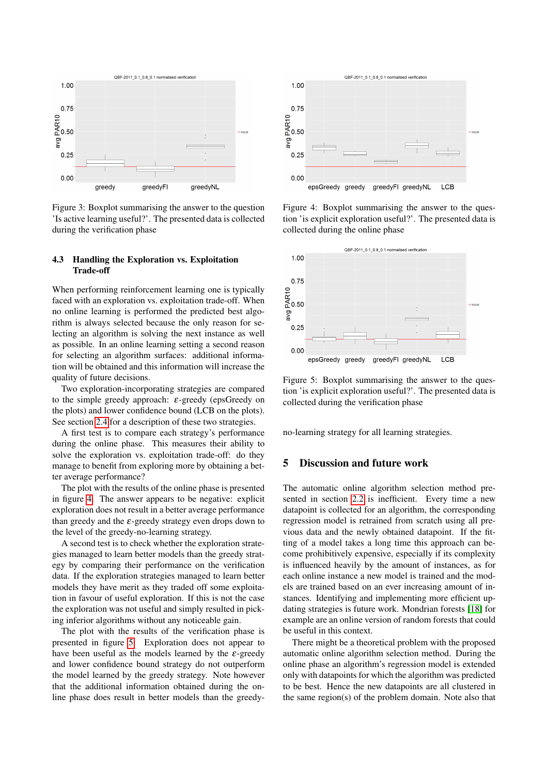

<span id="page-6-1"></span>Figure 3: Boxplot summarising the answer to the question 'Is active learning useful?'. The presented data is collected during the verification phase

### 4.3 Handling the Exploration vs. Exploitation Trade-off

When performing reinforcement learning one is typically faced with an exploration vs. exploitation trade-off. When no online learning is performed the predicted best algorithm is always selected because the only reason for selecting an algorithm is solving the next instance as well as possible. In an online learning setting a second reason for selecting an algorithm surfaces: additional information will be obtained and this information will increase the quality of future decisions.

Two exploration-incorporating strategies are compared to the simple greedy approach:  $\varepsilon$ -greedy (epsGreedy on the plots) and lower confidence bound (LCB on the plots). See section [2.4](#page-2-0) for a description of these two strategies.

A first test is to compare each strategy's performance during the online phase. This measures their ability to solve the exploration vs. exploitation trade-off: do they manage to benefit from exploring more by obtaining a better average performance?

The plot with the results of the online phase is presented in figure [4.](#page-6-2) The answer appears to be negative: explicit exploration does not result in a better average performance than greedy and the  $\varepsilon$ -greedy strategy even drops down to the level of the greedy-no-learning strategy.

A second test is to check whether the exploration strategies managed to learn better models than the greedy strategy by comparing their performance on the verification data. If the exploration strategies managed to learn better models they have merit as they traded off some exploitation in favour of useful exploration. If this is not the case the exploration was not useful and simply resulted in picking inferior algorithms without any noticeable gain.

The plot with the results of the verification phase is presented in figure [5.](#page-6-3) Exploration does not appear to have been useful as the models learned by the  $\varepsilon$ -greedy and lower confidence bound strategy do not outperform the model learned by the greedy strategy. Note however that the additional information obtained during the online phase does result in better models than the greedy-



<span id="page-6-2"></span>Figure 4: Boxplot summarising the answer to the question 'is explicit exploration useful?'. The presented data is collected during the online phase



<span id="page-6-3"></span>Figure 5: Boxplot summarising the answer to the question 'is explicit exploration useful?'. The presented data is collected during the verification phase

no-learning strategy for all learning strategies.

## <span id="page-6-0"></span>5 Discussion and future work

The automatic online algorithm selection method presented in section [2.2](#page-2-1) is inefficient. Every time a new datapoint is collected for an algorithm, the corresponding regression model is retrained from scratch using all previous data and the newly obtained datapoint. If the fitting of a model takes a long time this approach can become prohibitively expensive, especially if its complexity is influenced heavily by the amount of instances, as for each online instance a new model is trained and the models are trained based on an ever increasing amount of instances. Identifying and implementing more efficient updating strategies is future work. Mondrian forests [\[18\]](#page-8-21) for example are an online version of random forests that could be useful in this context.

There might be a theoretical problem with the proposed automatic online algorithm selection method. During the online phase an algorithm's regression model is extended only with datapoints for which the algorithm was predicted to be best. Hence the new datapoints are all clustered in the same region(s) of the problem domain. Note also that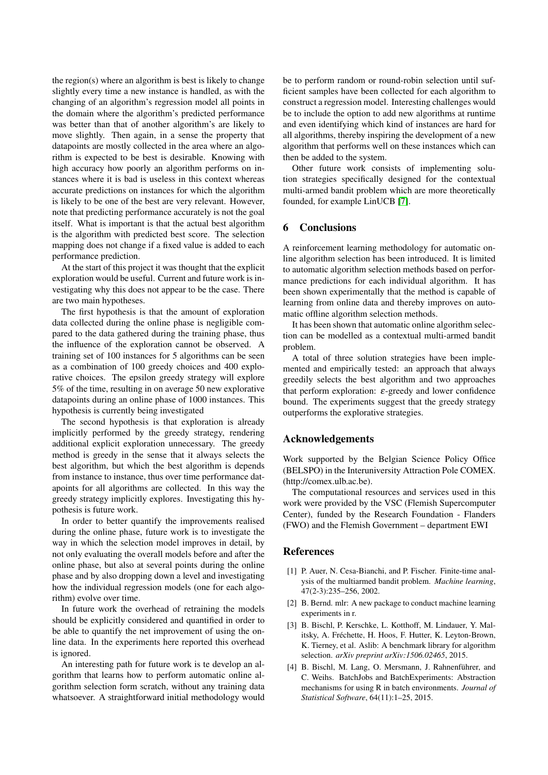the region(s) where an algorithm is best is likely to change slightly every time a new instance is handled, as with the changing of an algorithm's regression model all points in the domain where the algorithm's predicted performance was better than that of another algorithm's are likely to move slightly. Then again, in a sense the property that datapoints are mostly collected in the area where an algorithm is expected to be best is desirable. Knowing with high accuracy how poorly an algorithm performs on instances where it is bad is useless in this context whereas accurate predictions on instances for which the algorithm is likely to be one of the best are very relevant. However, note that predicting performance accurately is not the goal itself. What is important is that the actual best algorithm is the algorithm with predicted best score. The selection mapping does not change if a fixed value is added to each performance prediction.

At the start of this project it was thought that the explicit exploration would be useful. Current and future work is investigating why this does not appear to be the case. There are two main hypotheses.

The first hypothesis is that the amount of exploration data collected during the online phase is negligible compared to the data gathered during the training phase, thus the influence of the exploration cannot be observed. A training set of 100 instances for 5 algorithms can be seen as a combination of 100 greedy choices and 400 explorative choices. The epsilon greedy strategy will explore 5% of the time, resulting in on average 50 new explorative datapoints during an online phase of 1000 instances. This hypothesis is currently being investigated

The second hypothesis is that exploration is already implicitly performed by the greedy strategy, rendering additional explicit exploration unnecessary. The greedy method is greedy in the sense that it always selects the best algorithm, but which the best algorithm is depends from instance to instance, thus over time performance datapoints for all algorithms are collected. In this way the greedy strategy implicitly explores. Investigating this hypothesis is future work.

In order to better quantify the improvements realised during the online phase, future work is to investigate the way in which the selection model improves in detail, by not only evaluating the overall models before and after the online phase, but also at several points during the online phase and by also dropping down a level and investigating how the individual regression models (one for each algorithm) evolve over time.

In future work the overhead of retraining the models should be explicitly considered and quantified in order to be able to quantify the net improvement of using the online data. In the experiments here reported this overhead is ignored.

An interesting path for future work is te develop an algorithm that learns how to perform automatic online algorithm selection form scratch, without any training data whatsoever. A straightforward initial methodology would be to perform random or round-robin selection until sufficient samples have been collected for each algorithm to construct a regression model. Interesting challenges would be to include the option to add new algorithms at runtime and even identifying which kind of instances are hard for all algorithms, thereby inspiring the development of a new algorithm that performs well on these instances which can then be added to the system.

Other future work consists of implementing solution strategies specifically designed for the contextual multi-armed bandit problem which are more theoretically founded, for example LinUCB [\[7\]](#page-8-14).

## <span id="page-7-0"></span>6 Conclusions

A reinforcement learning methodology for automatic online algorithm selection has been introduced. It is limited to automatic algorithm selection methods based on performance predictions for each individual algorithm. It has been shown experimentally that the method is capable of learning from online data and thereby improves on automatic offline algorithm selection methods.

It has been shown that automatic online algorithm selection can be modelled as a contextual multi-armed bandit problem.

A total of three solution strategies have been implemented and empirically tested: an approach that always greedily selects the best algorithm and two approaches that perform exploration:  $\varepsilon$ -greedy and lower confidence bound. The experiments suggest that the greedy strategy outperforms the explorative strategies.

## Acknowledgements

Work supported by the Belgian Science Policy Office (BELSPO) in the Interuniversity Attraction Pole COMEX. (http://comex.ulb.ac.be).

The computational resources and services used in this work were provided by the VSC (Flemish Supercomputer Center), funded by the Research Foundation - Flanders (FWO) and the Flemish Government – department EWI

## **References**

- <span id="page-7-1"></span>[1] P. Auer, N. Cesa-Bianchi, and P. Fischer. Finite-time analysis of the multiarmed bandit problem. *Machine learning*, 47(2-3):235–256, 2002.
- <span id="page-7-4"></span>[2] B. Bernd. mlr: A new package to conduct machine learning experiments in r.
- <span id="page-7-2"></span>[3] B. Bischl, P. Kerschke, L. Kotthoff, M. Lindauer, Y. Malitsky, A. Fréchette, H. Hoos, F. Hutter, K. Leyton-Brown, K. Tierney, et al. Aslib: A benchmark library for algorithm selection. *arXiv preprint arXiv:1506.02465*, 2015.
- <span id="page-7-3"></span>[4] B. Bischl, M. Lang, O. Mersmann, J. Rahnenführer, and C. Weihs. BatchJobs and BatchExperiments: Abstraction mechanisms for using R in batch environments. *Journal of Statistical Software*, 64(11):1–25, 2015.